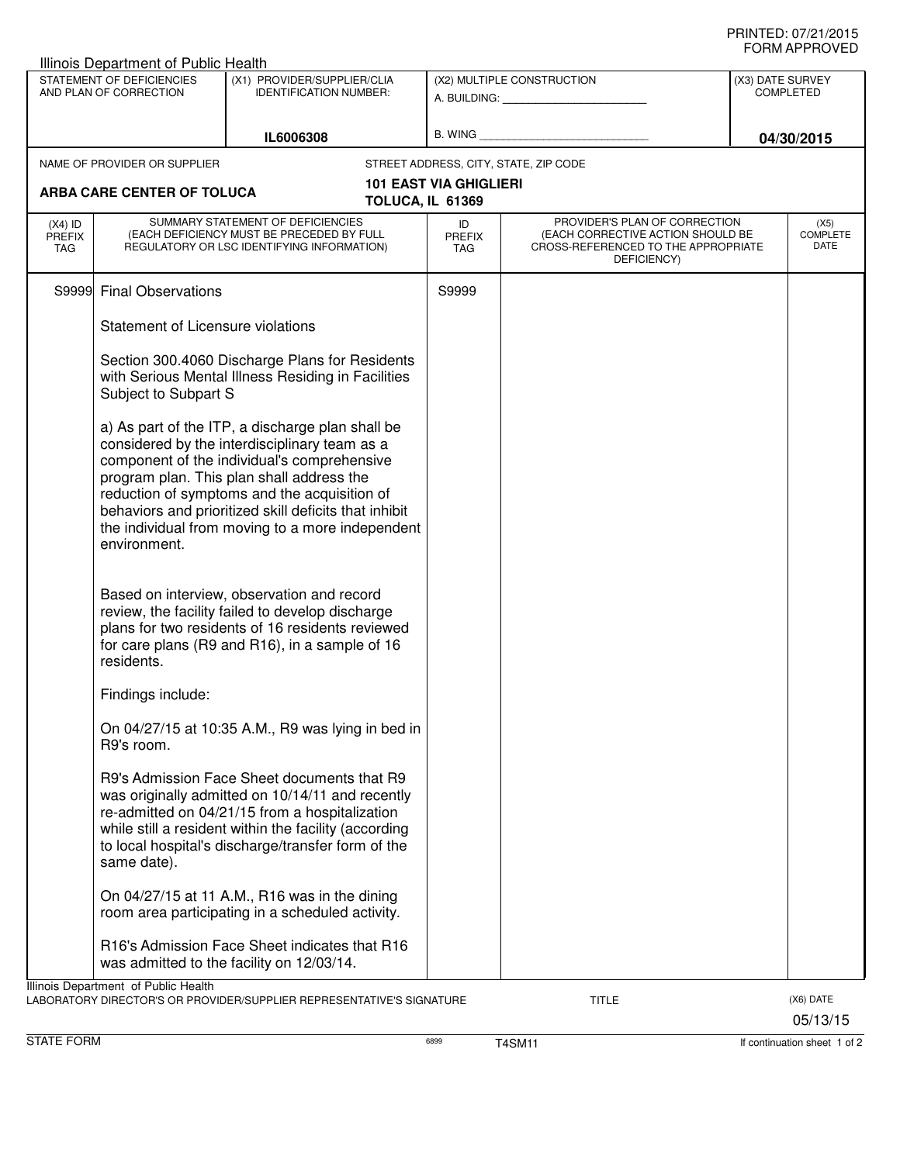## PRINTED: 07/21/2015 FORM APPROVED

| STATEMENT OF DEFICIENCIES<br>AND PLAN OF CORRECTION<br>IL6006308<br>NAME OF PROVIDER OR SUPPLIER |                                                                                                                              | (X1) PROVIDER/SUPPLIER/CLIA<br><b>IDENTIFICATION NUMBER:</b>                                                                                                                                                                                                                                                                                               | (X2) MULTIPLE CONSTRUCTION            |                                                                                                                          |  | (X3) DATE SURVEY<br><b>COMPLETED</b><br>04/30/2015 |  |
|--------------------------------------------------------------------------------------------------|------------------------------------------------------------------------------------------------------------------------------|------------------------------------------------------------------------------------------------------------------------------------------------------------------------------------------------------------------------------------------------------------------------------------------------------------------------------------------------------------|---------------------------------------|--------------------------------------------------------------------------------------------------------------------------|--|----------------------------------------------------|--|
|                                                                                                  |                                                                                                                              |                                                                                                                                                                                                                                                                                                                                                            |                                       |                                                                                                                          |  |                                                    |  |
|                                                                                                  |                                                                                                                              |                                                                                                                                                                                                                                                                                                                                                            | STREET ADDRESS, CITY, STATE, ZIP CODE |                                                                                                                          |  |                                                    |  |
|                                                                                                  | ARBA CARE CENTER OF TOLUCA                                                                                                   |                                                                                                                                                                                                                                                                                                                                                            | <b>101 EAST VIA GHIGLIERI</b>         |                                                                                                                          |  |                                                    |  |
|                                                                                                  |                                                                                                                              |                                                                                                                                                                                                                                                                                                                                                            | TOLUCA, IL 61369                      |                                                                                                                          |  |                                                    |  |
| $(X4)$ ID<br><b>PREFIX</b><br><b>TAG</b>                                                         | SUMMARY STATEMENT OF DEFICIENCIES<br>(EACH DEFICIENCY MUST BE PRECEDED BY FULL<br>REGULATORY OR LSC IDENTIFYING INFORMATION) |                                                                                                                                                                                                                                                                                                                                                            | ID<br><b>PREFIX</b><br>TAG            | PROVIDER'S PLAN OF CORRECTION<br>(EACH CORRECTIVE ACTION SHOULD BE<br>CROSS-REFERENCED TO THE APPROPRIATE<br>DEFICIENCY) |  | (X5)<br><b>COMPLETE</b><br><b>DATE</b>             |  |
|                                                                                                  | S9999 Final Observations                                                                                                     |                                                                                                                                                                                                                                                                                                                                                            | S9999                                 |                                                                                                                          |  |                                                    |  |
|                                                                                                  | Statement of Licensure violations                                                                                            |                                                                                                                                                                                                                                                                                                                                                            |                                       |                                                                                                                          |  |                                                    |  |
|                                                                                                  | Subject to Subpart S                                                                                                         | Section 300.4060 Discharge Plans for Residents<br>with Serious Mental Illness Residing in Facilities                                                                                                                                                                                                                                                       |                                       |                                                                                                                          |  |                                                    |  |
|                                                                                                  | environment.                                                                                                                 | a) As part of the ITP, a discharge plan shall be<br>considered by the interdisciplinary team as a<br>component of the individual's comprehensive<br>program plan. This plan shall address the<br>reduction of symptoms and the acquisition of<br>behaviors and prioritized skill deficits that inhibit<br>the individual from moving to a more independent |                                       |                                                                                                                          |  |                                                    |  |
|                                                                                                  | residents.                                                                                                                   | Based on interview, observation and record<br>review, the facility failed to develop discharge<br>plans for two residents of 16 residents reviewed<br>for care plans (R9 and R16), in a sample of 16                                                                                                                                                       |                                       |                                                                                                                          |  |                                                    |  |
|                                                                                                  | Findings include:                                                                                                            |                                                                                                                                                                                                                                                                                                                                                            |                                       |                                                                                                                          |  |                                                    |  |
|                                                                                                  | R9's room.                                                                                                                   | On 04/27/15 at 10:35 A.M., R9 was lying in bed in                                                                                                                                                                                                                                                                                                          |                                       |                                                                                                                          |  |                                                    |  |
|                                                                                                  | same date).                                                                                                                  | R9's Admission Face Sheet documents that R9<br>was originally admitted on 10/14/11 and recently<br>re-admitted on 04/21/15 from a hospitalization<br>while still a resident within the facility (according<br>to local hospital's discharge/transfer form of the                                                                                           |                                       |                                                                                                                          |  |                                                    |  |
|                                                                                                  |                                                                                                                              | On 04/27/15 at 11 A.M., R16 was in the dining<br>room area participating in a scheduled activity.                                                                                                                                                                                                                                                          |                                       |                                                                                                                          |  |                                                    |  |
|                                                                                                  |                                                                                                                              | R16's Admission Face Sheet indicates that R16<br>was admitted to the facility on 12/03/14.                                                                                                                                                                                                                                                                 |                                       |                                                                                                                          |  |                                                    |  |
|                                                                                                  | Illinois Department of Public Health                                                                                         | LABORATORY DIRECTOR'S OR PROVIDER/SUPPLIER REPRESENTATIVE'S SIGNATURE                                                                                                                                                                                                                                                                                      |                                       | TITLE                                                                                                                    |  | (X6) DATE<br>05/13/15                              |  |

STATE FORM **EXECUTE FORM** 6899 **T4SM11** 6899 **T4SM11 If continuation sheet 1 of 2**